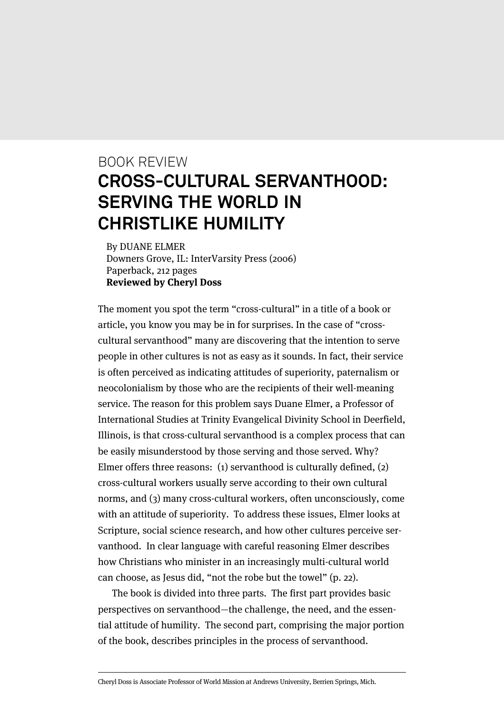## BOOK REVIEW **CROSS-CULTURAL SERVANTHOOD: SERVING THE WORLD IN CHRISTLIKE HUMILITY**

By DUANE ELMER Downers Grove, IL: InterVarsity Press (2006) Paperback, 212 pages **Reviewed by Cheryl Doss**

The moment you spot the term "cross-cultural" in a title of a book or article, you know you may be in for surprises. In the case of "crosscultural servanthood" many are discovering that the intention to serve people in other cultures is not as easy as it sounds. In fact, their service is often perceived as indicating attitudes of superiority, paternalism or neocolonialism by those who are the recipients of their well-meaning service. The reason for this problem says Duane Elmer, a Professor of International Studies at Trinity Evangelical Divinity School in Deerfield, Illinois, is that cross-cultural servanthood is a complex process that can be easily misunderstood by those serving and those served. Why? Elmer offers three reasons: (1) servanthood is culturally defined, (2) cross-cultural workers usually serve according to their own cultural norms, and (3) many cross-cultural workers, often unconsciously, come with an attitude of superiority. To address these issues, Elmer looks at Scripture, social science research, and how other cultures perceive servanthood. In clear language with careful reasoning Elmer describes how Christians who minister in an increasingly multi-cultural world can choose, as Jesus did, "not the robe but the towel" (p. 22).

The book is divided into three parts. The first part provides basic perspectives on servanthood—the challenge, the need, and the essential attitude of humility. The second part, comprising the major portion of the book, describes principles in the process of servanthood.

Cheryl Doss is Associate Professor of World Mission at Andrews University, Berrien Springs, Mich.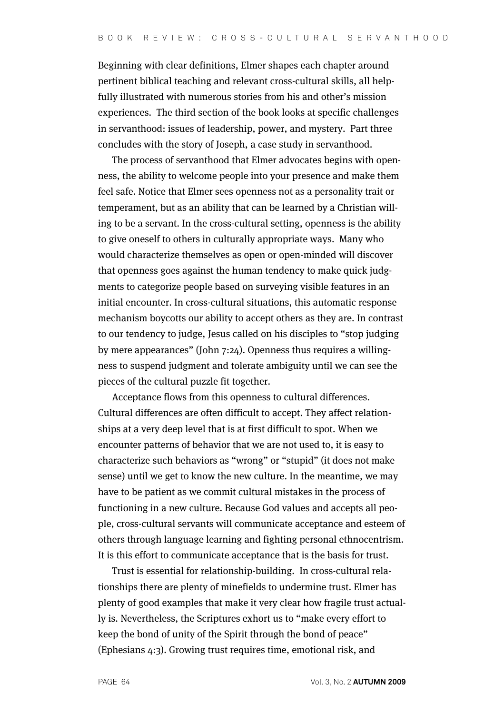Beginning with clear definitions, Elmer shapes each chapter around pertinent biblical teaching and relevant cross-cultural skills, all helpfully illustrated with numerous stories from his and other's mission experiences. The third section of the book looks at specific challenges in servanthood: issues of leadership, power, and mystery. Part three concludes with the story of Joseph, a case study in servanthood.

The process of servanthood that Elmer advocates begins with openness, the ability to welcome people into your presence and make them feel safe. Notice that Elmer sees openness not as a personality trait or temperament, but as an ability that can be learned by a Christian willing to be a servant. In the cross-cultural setting, openness is the ability to give oneself to others in culturally appropriate ways. Many who would characterize themselves as open or open-minded will discover that openness goes against the human tendency to make quick judgments to categorize people based on surveying visible features in an initial encounter. In cross-cultural situations, this automatic response mechanism boycotts our ability to accept others as they are. In contrast to our tendency to judge, Jesus called on his disciples to "stop judging by mere appearances" (John 7:24). Openness thus requires a willingness to suspend judgment and tolerate ambiguity until we can see the pieces of the cultural puzzle fit together.

Acceptance flows from this openness to cultural differences. Cultural differences are often difficult to accept. They affect relationships at a very deep level that is at first difficult to spot. When we encounter patterns of behavior that we are not used to, it is easy to characterize such behaviors as "wrong" or "stupid" (it does not make sense) until we get to know the new culture. In the meantime, we may have to be patient as we commit cultural mistakes in the process of functioning in a new culture. Because God values and accepts all people, cross-cultural servants will communicate acceptance and esteem of others through language learning and fighting personal ethnocentrism. It is this effort to communicate acceptance that is the basis for trust.

Trust is essential for relationship-building. In cross-cultural relationships there are plenty of minefields to undermine trust. Elmer has plenty of good examples that make it very clear how fragile trust actually is. Nevertheless, the Scriptures exhort us to "make every effort to keep the bond of unity of the Spirit through the bond of peace" (Ephesians 4:3). Growing trust requires time, emotional risk, and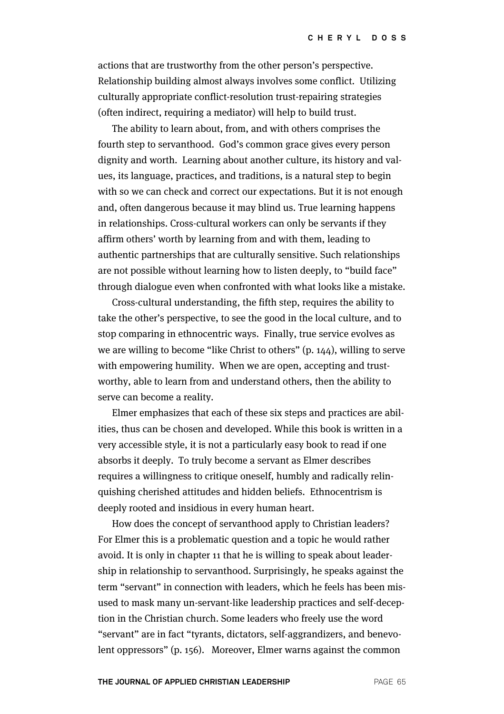actions that are trustworthy from the other person's perspective. Relationship building almost always involves some conflict. Utilizing culturally appropriate conflict-resolution trust-repairing strategies (often indirect, requiring a mediator) will help to build trust.

The ability to learn about, from, and with others comprises the fourth step to servanthood. God's common grace gives every person dignity and worth. Learning about another culture, its history and values, its language, practices, and traditions, is a natural step to begin with so we can check and correct our expectations. But it is not enough and, often dangerous because it may blind us. True learning happens in relationships. Cross-cultural workers can only be servants if they affirm others' worth by learning from and with them, leading to authentic partnerships that are culturally sensitive. Such relationships are not possible without learning how to listen deeply, to "build face" through dialogue even when confronted with what looks like a mistake.

Cross-cultural understanding, the fifth step, requires the ability to take the other's perspective, to see the good in the local culture, and to stop comparing in ethnocentric ways. Finally, true service evolves as we are willing to become "like Christ to others" (p. 144), willing to serve with empowering humility. When we are open, accepting and trustworthy, able to learn from and understand others, then the ability to serve can become a reality.

Elmer emphasizes that each of these six steps and practices are abilities, thus can be chosen and developed. While this book is written in a very accessible style, it is not a particularly easy book to read if one absorbs it deeply. To truly become a servant as Elmer describes requires a willingness to critique oneself, humbly and radically relinquishing cherished attitudes and hidden beliefs. Ethnocentrism is deeply rooted and insidious in every human heart.

How does the concept of servanthood apply to Christian leaders? For Elmer this is a problematic question and a topic he would rather avoid. It is only in chapter 11 that he is willing to speak about leadership in relationship to servanthood. Surprisingly, he speaks against the term "servant" in connection with leaders, which he feels has been misused to mask many un-servant-like leadership practices and self-deception in the Christian church. Some leaders who freely use the word "servant" are in fact "tyrants, dictators, self-aggrandizers, and benevolent oppressors" (p. 156). Moreover, Elmer warns against the common